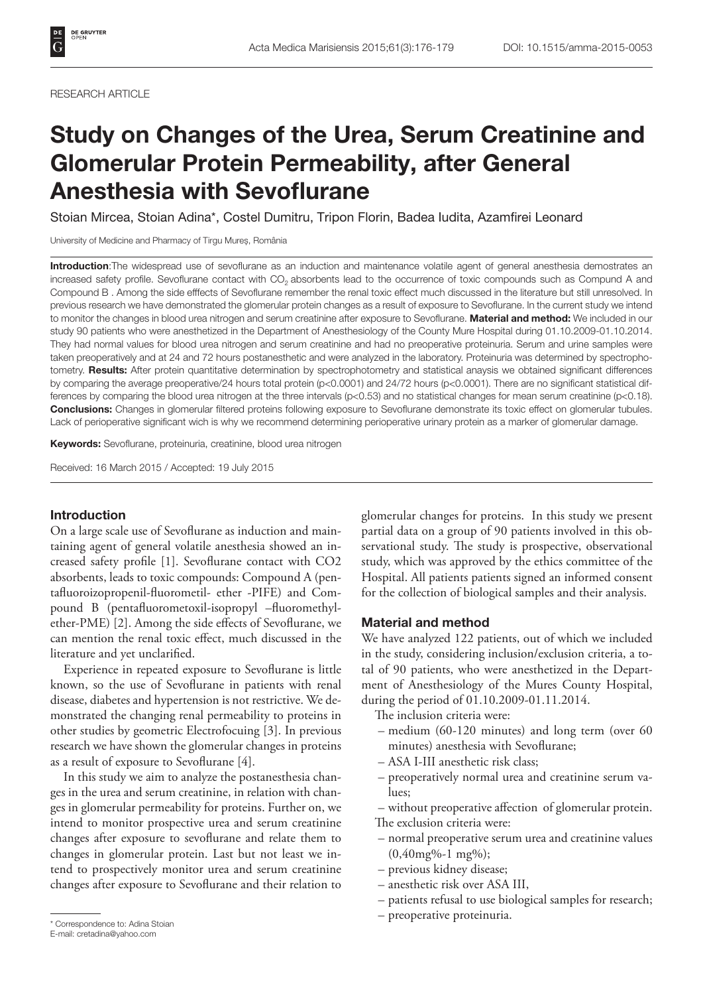#### RESEARCH ARTICLE

# Study on Changes of the Urea, Serum Creatinine and Glomerular Protein Permeability, after General Anesthesia with Sevoflurane

Stoian Mircea, Stoian Adina\*, Costel Dumitru, Tripon Florin, Badea Iudita, Azamfirei Leonard

University of Medicine and Pharmacy of Tirgu Mureș, România

Introduction: The widespread use of sevoflurane as an induction and maintenance volatile agent of general anesthesia demostrates an increased safety profile. Sevoflurane contact with CO<sub>2</sub> absorbents lead to the occurrence of toxic compounds such as Compund A and Compound B . Among the side efffects of Sevoflurane remember the renal toxic effect much discussed in the literature but still unresolved. In previous research we have demonstrated the glomerular protein changes as a result of exposure to Sevoflurane. In the current study we intend to monitor the changes in blood urea nitrogen and serum creatinine after exposure to Sevoflurane. Material and method: We included in our study 90 patients who were anesthetized in the Department of Anesthesiology of the County Mure Hospital during 01.10.2009-01.10.2014. They had normal values for blood urea nitrogen and serum creatinine and had no preoperative proteinuria. Serum and urine samples were taken preoperatively and at 24 and 72 hours postanesthetic and were analyzed in the laboratory. Proteinuria was determined by spectrophotometry. Results: After protein quantitative determination by spectrophotometry and statistical anaysis we obtained significant differences by comparing the average preoperative/24 hours total protein (p<0.0001) and 24/72 hours (p<0.0001). There are no significant statistical differences by comparing the blood urea nitrogen at the three intervals (p<0.53) and no statistical changes for mean serum creatinine (p<0.18). Conclusions: Changes in glomerular filtered proteins following exposure to Sevoflurane demonstrate its toxic effect on glomerular tubules. Lack of perioperative significant wich is why we recommend determining perioperative urinary protein as a marker of glomerular damage.

Keywords: Sevoflurane, proteinuria, creatinine, blood urea nitrogen

Received: 16 March 2015 / Accepted: 19 July 2015

## Introduction

On a large scale use of Sevoflurane as induction and maintaining agent of general volatile anesthesia showed an increased safety profile [1]. Sevoflurane contact with CO2 absorbents, leads to toxic compounds: Compound A (pentafluoroizopropenil-fluorometil- ether -PIFE) and Compound B (pentafluorometoxil-isopropyl –fluoromethylether-PME) [2]. Among the side effects of Sevoflurane, we can mention the renal toxic effect, much discussed in the literature and yet unclarified.

Experience in repeated exposure to Sevoflurane is little known, so the use of Sevoflurane in patients with renal disease, diabetes and hypertension is not restrictive. We demonstrated the changing renal permeability to proteins in other studies by geometric Electrofocuing [3]. In previous research we have shown the glomerular changes in proteins as a result of exposure to Sevoflurane [4].

In this study we aim to analyze the postanesthesia changes in the urea and serum creatinine, in relation with changes in glomerular permeability for proteins. Further on, we intend to monitor prospective urea and serum creatinine changes after exposure to sevoflurane and relate them to changes in glomerular protein. Last but not least we intend to prospectively monitor urea and serum creatinine changes after exposure to Sevoflurane and their relation to glomerular changes for proteins. In this study we present partial data on a group of 90 patients involved in this observational study. The study is prospective, observational study, which was approved by the ethics committee of the Hospital. All patients patients signed an informed consent for the collection of biological samples and their analysis.

## Material and method

We have analyzed 122 patients, out of which we included in the study, considering inclusion/exclusion criteria, a total of 90 patients, who were anesthetized in the Department of Anesthesiology of the Mures County Hospital, during the period of 01.10.2009-01.11.2014.

The inclusion criteria were:

- medium (60-120 minutes) and long term (over 60 minutes) anesthesia with Sevoflurane;
- ASA I-III anesthetic risk class;
- preoperatively normal urea and creatinine serum values;

– without preoperative affection of glomerular protein. The exclusion criteria were:

- normal preoperative serum urea and creatinine values (0,40mg%-1 mg%);
- previous kidney disease;
- anesthetic risk over ASA III,
- patients refusal to use biological samples for research;
- preoperative proteinuria. \* Correspondence to: Adina Stoian

E-mail: cretadina@yahoo.com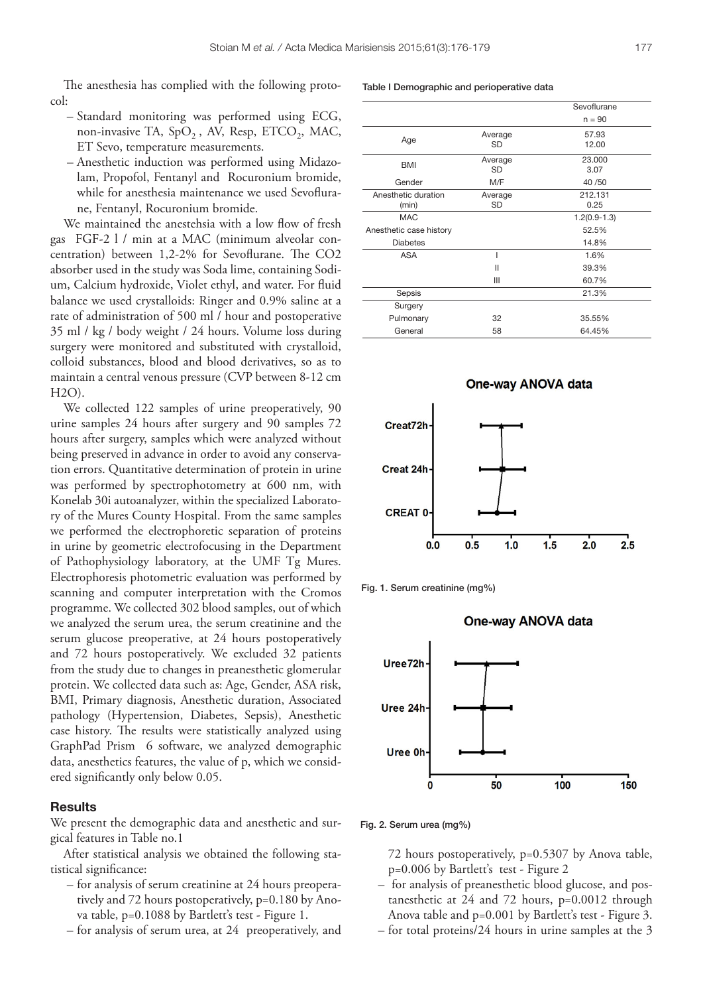The anesthesia has complied with the following protocol:

- Standard monitoring was performed using ECG, non-invasive TA,  $SpO<sub>2</sub>$ , AV, Resp, ETCO<sub>2</sub>, MAC, ET Sevo, temperature measurements.
- Anesthetic induction was performed using Midazolam, Propofol, Fentanyl and Rocuronium bromide, while for anesthesia maintenance we used Sevoflurane, Fentanyl, Rocuronium bromide.

We maintained the anestehsia with a low flow of fresh gas FGF-2 l / min at a MAC (minimum alveolar concentration) between 1,2-2% for Sevoflurane. The CO2 absorber used in the study was Soda lime, containing Sodium, Calcium hydroxide, Violet ethyl, and water. For fluid balance we used crystalloids: Ringer and 0.9% saline at a rate of administration of 500 ml / hour and postoperative 35 ml / kg / body weight / 24 hours. Volume loss during surgery were monitored and substituted with crystalloid, colloid substances, blood and blood derivatives, so as to maintain a central venous pressure (CVP between 8-12 cm H2O).

We collected 122 samples of urine preoperatively, 90 urine samples 24 hours after surgery and 90 samples 72 hours after surgery, samples which were analyzed without being preserved in advance in order to avoid any conservation errors. Quantitative determination of protein in urine was performed by spectrophotometry at 600 nm, with Konelab 30i autoanalyzer, within the specialized Laboratory of the Mures County Hospital. From the same samples we performed the electrophoretic separation of proteins in urine by geometric electrofocusing in the Department of Pathophysiology laboratory, at the UMF Tg Mures. Electrophoresis photometric evaluation was performed by scanning and computer interpretation with the Cromos programme. We collected 302 blood samples, out of which we analyzed the serum urea, the serum creatinine and the serum glucose preoperative, at 24 hours postoperatively and 72 hours postoperatively. We excluded 32 patients from the study due to changes in preanesthetic glomerular protein. We collected data such as: Age, Gender, ASA risk, BMI, Primary diagnosis, Anesthetic duration, Associated pathology (Hypertension, Diabetes, Sepsis), Anesthetic case history. The results were statistically analyzed using GraphPad Prism 6 software, we analyzed demographic data, anesthetics features, the value of p, which we considered significantly only below 0.05.

## **Results**

We present the demographic data and anesthetic and surgical features in Table no.1

After statistical analysis we obtained the following statistical significance:

- for analysis of serum creatinine at 24 hours preoperatively and 72 hours postoperatively, p=0.180 by Anova table, p=0.1088 by Bartlett's test - Figure 1.
- for analysis of serum urea, at 24 preoperatively, and

Table I Demographic and perioperative data

|                         |         | Sevoflurane    |
|-------------------------|---------|----------------|
|                         |         | $n = 90$       |
| Age                     | Average | 57.93          |
|                         | SD      | 12.00          |
| <b>BMI</b>              | Average | 23,000         |
|                         | SD      | 3.07           |
| Gender                  | M/F     | 40/50          |
| Anesthetic duration     | Average | 212.131        |
| (min)                   | SD      | 0.25           |
| <b>MAC</b>              |         | $1.2(0.9-1.3)$ |
| Anesthetic case history |         | 52.5%          |
| <b>Diabetes</b>         |         | 14.8%          |
| <b>ASA</b>              |         | 1.6%           |
|                         | Ш       | 39.3%          |
|                         | Ш       | 60.7%          |
| Sepsis                  |         | 21.3%          |
| Surgery                 |         |                |
| Pulmonary               | 32      | 35.55%         |
| General                 | 58      | 64.45%         |



One-way ANOVA data

Fig. 1. Serum creatinine (mg%)

#### **One-way ANOVA data**



Fig. 2. Serum urea (mg%)

72 hours postoperatively, p=0.5307 by Anova table, p=0.006 by Bartlett's test - Figure 2

- for analysis of preanesthetic blood glucose, and postanesthetic at 24 and 72 hours, p=0.0012 through Anova table and p=0.001 by Bartlett's test - Figure 3.
- for total proteins/24 hours in urine samples at the 3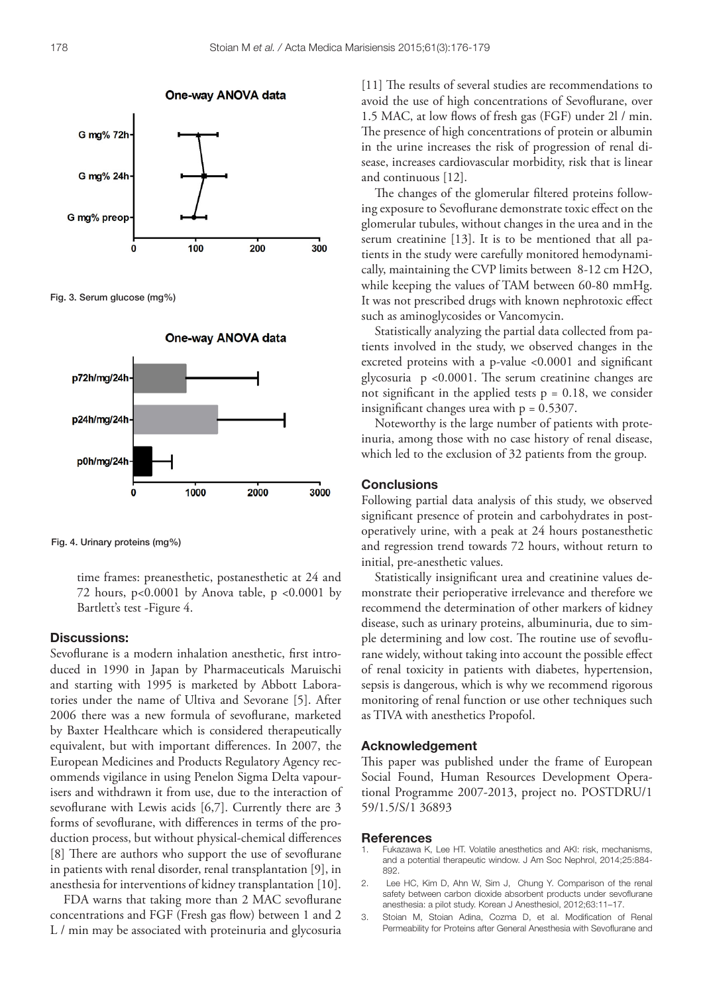

Fig. 3. Serum glucose (mg%)



Fig. 4. Urinary proteins (mg%)

time frames: preanesthetic, postanesthetic at 24 and 72 hours,  $p<0.0001$  by Anova table,  $p<0.0001$  by Bartlett's test -Figure 4.

### Discussions:

Sevoflurane is a modern inhalation anesthetic, first introduced in 1990 in Japan by Pharmaceuticals Maruischi and starting with 1995 is marketed by Abbott Laboratories under the name of Ultiva and Sevorane [5]. After 2006 there was a new formula of sevoflurane, marketed by Baxter Healthcare which is considered therapeutically equivalent, but with important differences. In 2007, the European Medicines and Products Regulatory Agency recommends vigilance in using Penelon Sigma Delta vapourisers and withdrawn it from use, due to the interaction of sevoflurane with Lewis acids [6,7]. Currently there are 3 forms of sevoflurane, with differences in terms of the production process, but without physical-chemical differences [8] There are authors who support the use of sevoflurane in patients with renal disorder, renal transplantation [9], in anesthesia for interventions of kidney transplantation [10].

FDA warns that taking more than 2 MAC sevoflurane concentrations and FGF (Fresh gas flow) between 1 and 2 L / min may be associated with proteinuria and glycosuria

[11] The results of several studies are recommendations to avoid the use of high concentrations of Sevoflurane, over 1.5 MAC, at low flows of fresh gas (FGF) under 2l / min. The presence of high concentrations of protein or albumin in the urine increases the risk of progression of renal disease, increases cardiovascular morbidity, risk that is linear and continuous [12].

The changes of the glomerular filtered proteins following exposure to Sevoflurane demonstrate toxic effect on the glomerular tubules, without changes in the urea and in the serum creatinine [13]. It is to be mentioned that all patients in the study were carefully monitored hemodynamically, maintaining the CVP limits between 8-12 cm H2O, while keeping the values of TAM between 60-80 mmHg. It was not prescribed drugs with known nephrotoxic effect such as aminoglycosides or Vancomycin.

Statistically analyzing the partial data collected from patients involved in the study, we observed changes in the excreted proteins with a p-value <0.0001 and significant glycosuria p <0.0001. The serum creatinine changes are not significant in the applied tests  $p = 0.18$ , we consider insignificant changes urea with  $p = 0.5307$ .

Noteworthy is the large number of patients with proteinuria, among those with no case history of renal disease, which led to the exclusion of 32 patients from the group.

# **Conclusions**

Following partial data analysis of this study, we observed significant presence of protein and carbohydrates in postoperatively urine, with a peak at 24 hours postanesthetic and regression trend towards 72 hours, without return to initial, pre-anesthetic values.

Statistically insignificant urea and creatinine values demonstrate their perioperative irrelevance and therefore we recommend the determination of other markers of kidney disease, such as urinary proteins, albuminuria, due to simple determining and low cost. The routine use of sevoflurane widely, without taking into account the possible effect of renal toxicity in patients with diabetes, hypertension, sepsis is dangerous, which is why we recommend rigorous monitoring of renal function or use other techniques such as TIVA with anesthetics Propofol.

## Acknowledgement

This paper was published under the frame of European Social Found, Human Resources Development Operational Programme 2007-2013, project no. POSTDRU/1 59/1.5/S/1 36893

#### References

- 1. Fukazawa K, Lee HT. Volatile anesthetics and AKI: risk, mechanisms, and a potential therapeutic window. J Am Soc Nephrol, 2014;25:884- 892.
- 2. Lee HC, Kim D, Ahn W, Sim J, Chung Y. Comparison of the renal safety between carbon dioxide absorbent products under sevoflurane anesthesia: a pilot study. Korean J Anesthesiol, 2012;63:11–17.
- 3. Stoian M, Stoian Adina, Cozma D, et al. Modification of Renal Permeability for Proteins after General Anesthesia with Sevoflurane and